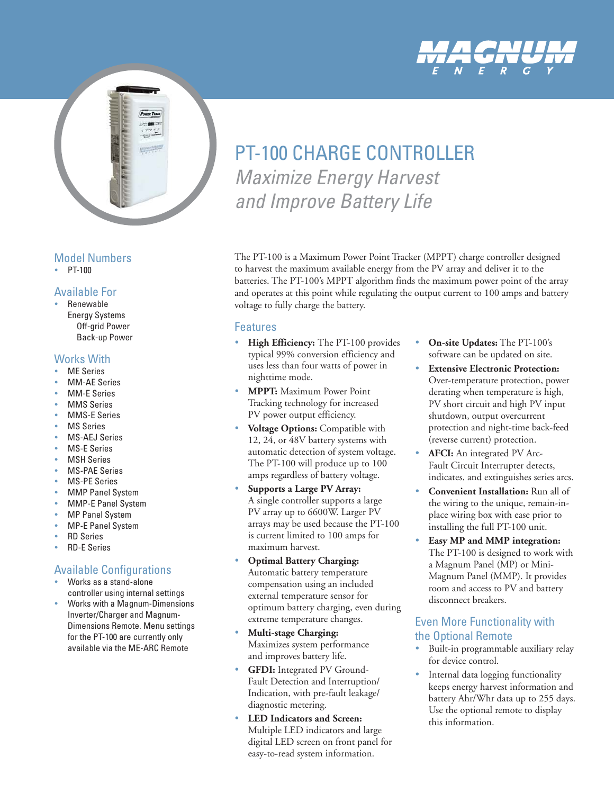



### Model Numbers

 $\cdot$  PT-100

### Available For

• Renewable Energy Systems Off-grid Power Back-up Power

### Works With

- **ME Series**
- **MM-AE Series**
- **MM-E Series**
- **MMS Series**
- **MMS-E Series**
- **MS Series**
- **MS-AEJ Series**
- **MS-E Series**
- **MSH Series**
- **MS-PAE Series**
- **MS-PE Series**
- **MMP Panel System**
- MMP-E Panel System
- **MP Panel System**
- **MP-E Panel System**
- **RD Series**
- **RD-E Series**

### Available Configurations

- Works as a stand-alone controller using internal settings
- Works with a Magnum-Dimensions Inverter/Charger and Magnum-Dimensions Remote. Menu settings for the PT-100 are currently only available via the ME-ARC Remote

# PT-100 CHARGE CONTROLLER Maximize Energy Harvest and Improve Battery Life

The PT-100 is a Maximum Power Point Tracker (MPPT) charge controller designed to harvest the maximum available energy from the PV array and deliver it to the batteries. The PT-100's MPPT algorithm finds the maximum power point of the array and operates at this point while regulating the output current to 100 amps and battery voltage to fully charge the battery.

### Features

- High Efficiency: The PT-100 provides typical 99% conversion efficiency and uses less than four watts of power in nighttime mode.
- **MPPT:** Maximum Power Point Tracking technology for increased PV power output efficiency.
- **Voltage Options:** Compatible with 12, 24, or 48V battery systems with automatic detection of system voltage. The PT-100 will produce up to 100 amps regardless of battery voltage.
- **Supports a Large PV Array:** A single controller supports a large PV array up to 6600W. Larger PV arrays may be used because the PT-100 is current limited to 100 amps for maximum harvest.
- **Optimal Battery Charging:** Automatic battery temperature compensation using an included external temperature sensor for optimum battery charging, even during extreme temperature changes.
- **Multi-stage Charging:** Maximizes system performance and improves battery life.
- **GFDI:** Integrated PV Ground-Fault Detection and Interruption/ Indication, with pre-fault leakage/ diagnostic metering.
- **LED Indicators and Screen:** Multiple LED indicators and large digital LED screen on front panel for easy-to-read system information.
- **On-site Updates:** The PT-100's software can be updated on site.
- **Extensive Electronic Protection:** Over-temperature protection, power derating when temperature is high, PV short circuit and high PV input shutdown, output overcurrent protection and night-time back-feed (reverse current) protection.
- AFCI: An integrated PV Arc-Fault Circuit Interrupter detects, indicates, and extinguishes series arcs.
- **Convenient Installation:** Run all of the wiring to the unique, remain-inplace wiring box with ease prior to installing the full PT-100 unit.
- Easy MP and MMP integration: The PT-100 is designed to work with a Magnum Panel (MP) or Mini-Magnum Panel (MMP). It provides room and access to PV and battery disconnect breakers.

### Even More Functionality with the Optional Remote

- Built-in programmable auxiliary relay for device control.
- Internal data logging functionality keeps energy harvest information and battery Ahr/Whr data up to 255 days. Use the optional remote to display this information.